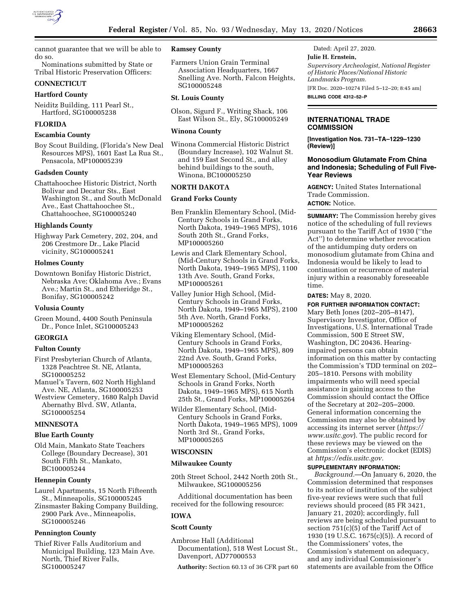

cannot guarantee that we will be able to do so.

Nominations submitted by State or Tribal Historic Preservation Officers:

# **CONNECTICUT**

### **Hartford County**

Neiditz Building, 111 Pearl St., Hartford, SG100005238

# **FLORIDA**

# **Escambia County**

Boy Scout Building, (Florida's New Deal Resources MPS), 1601 East La Rua St., Pensacola, MP100005239

# **Gadsden County**

Chattahoochee Historic District, North Bolivar and Decatur Sts., East Washington St., and South McDonald Ave., East Chattahoochee St., Chattahoochee, SG100005240

# **Highlands County**

Highway Park Cemetery, 202, 204, and 206 Crestmore Dr., Lake Placid vicinity, SG100005241

# **Holmes County**

Downtown Bonifay Historic District, Nebraska Ave; Oklahoma Ave.; Evans Ave.; Martin St., and Etheridge St., Bonifay, SG100005242

### **Volusia County**

Green Mound, 4400 South Peninsula Dr., Ponce Inlet, SG100005243

# **GEORGIA**

## **Fulton County**

First Presbyterian Church of Atlanta, 1328 Peachtree St. NE, Atlanta, SG100005252

Manuel's Tavern, 602 North Highland Ave. NE, Atlanta, SG100005253

Westview Cemetery, 1680 Ralph David Abernathy Blvd. SW, Atlanta, SG100005254

#### **MINNESOTA**

# **Blue Earth County**

Old Main, Mankato State Teachers College (Boundary Decrease), 301 South Fifth St., Mankato, BC100005244

## **Hennepin County**

Laurel Apartments, 15 North Fifteenth St., Minneapolis, SG100005245

Zinsmaster Baking Company Building, 2900 Park Ave., Minneapolis, SG100005246

# **Pennington County**

Thief River Falls Auditorium and Municipal Building, 123 Main Ave. North, Thief River Falls, SG100005247

# **Ramsey County**

Farmers Union Grain Terminal Association Headquarters, 1667 Snelling Ave. North, Falcon Heights, SG100005248

## **St. Louis County**

Olson, Sigurd F., Writing Shack, 106 East Wilson St., Ely, SG100005249

#### **Winona County**

Winona Commercial Historic District (Boundary Increase), 102 Walnut St. and 159 East Second St., and alley behind buildings to the south, Winona, BC100005250

# **NORTH DAKOTA**

# **Grand Forks County**

- Ben Franklin Elementary School, (Mid-Century Schools in Grand Forks, North Dakota, 1949–1965 MPS), 1016 South 20th St., Grand Forks, MP100005260
- Lewis and Clark Elementary School, (Mid-Century Schools in Grand Forks, North Dakota, 1949–1965 MPS), 1100 13th Ave. South, Grand Forks, MP100005261
- Valley Junior High School, (Mid-Century Schools in Grand Forks, North Dakota, 1949–1965 MPS), 2100 5th Ave. North, Grand Forks, MP100005262
- Viking Elementary School, (Mid-Century Schools in Grand Forks, North Dakota, 1949–1965 MPS), 809 22nd Ave. South, Grand Forks, MP100005263
- West Elementary School, (Mid-Century Schools in Grand Forks, North Dakota, 1949–1965 MPS), 615 North 25th St., Grand Forks, MP100005264
- Wilder Elementary School, (Mid-Century Schools in Grand Forks, North Dakota, 1949–1965 MPS), 1009 North 3rd St., Grand Forks, MP100005265

# **WISCONSIN**

#### **Milwaukee County**

20th Street School, 2442 North 20th St., Milwaukee, SG100005256

Additional documentation has been received for the following resource:

### **IOWA**

### **Scott County**

Ambrose Hall (Additional Documentation), 518 West Locust St., Davenport, AD77000553

**Authority:** Section 60.13 of 36 CFR part 60

Dated: April 27, 2020. **Julie H. Ernstein,**  *Supervisory Archeologist, National Register of Historic Places/National Historic Landmarks Program.*  [FR Doc. 2020–10274 Filed 5–12–20; 8:45 am]

**BILLING CODE 4312–52–P** 

# **INTERNATIONAL TRADE COMMISSION**

**[Investigation Nos. 731–TA–1229–1230 (Review)]** 

# **Monosodium Glutamate From China and Indonesia; Scheduling of Full Five-Year Reviews**

**AGENCY:** United States International Trade Commission. **ACTION:** Notice.

**SUMMARY:** The Commission hereby gives notice of the scheduling of full reviews pursuant to the Tariff Act of 1930 (''the Act'') to determine whether revocation of the antidumping duty orders on monosodium glutamate from China and Indonesia would be likely to lead to continuation or recurrence of material injury within a reasonably foreseeable time.

**DATES:** May 8, 2020.

**FOR FURTHER INFORMATION CONTACT:**  Mary Beth Jones (202–205–8147), Supervisory Investigator, Office of Investigations, U.S. International Trade Commission, 500 E Street SW, Washington, DC 20436. Hearingimpaired persons can obtain information on this matter by contacting the Commission's TDD terminal on 202– 205–1810. Persons with mobility impairments who will need special assistance in gaining access to the Commission should contact the Office of the Secretary at 202–205–2000. General information concerning the Commission may also be obtained by accessing its internet server (*[https://](https://www.usitc.gov) [www.usitc.gov](https://www.usitc.gov)*). The public record for these reviews may be viewed on the Commission's electronic docket (EDIS) at *[https://edis.usitc.gov.](https://edis.usitc.gov)* 

### **SUPPLEMENTARY INFORMATION:**

*Background.*—On January 6, 2020, the Commission determined that responses to its notice of institution of the subject five-year reviews were such that full reviews should proceed (85 FR 3421, January 21, 2020); accordingly, full reviews are being scheduled pursuant to section  $751(c)(5)$  of the Tariff Act of 1930 (19 U.S.C. 1675(c)(5)). A record of the Commissioners' votes, the Commission's statement on adequacy, and any individual Commissioner's statements are available from the Office